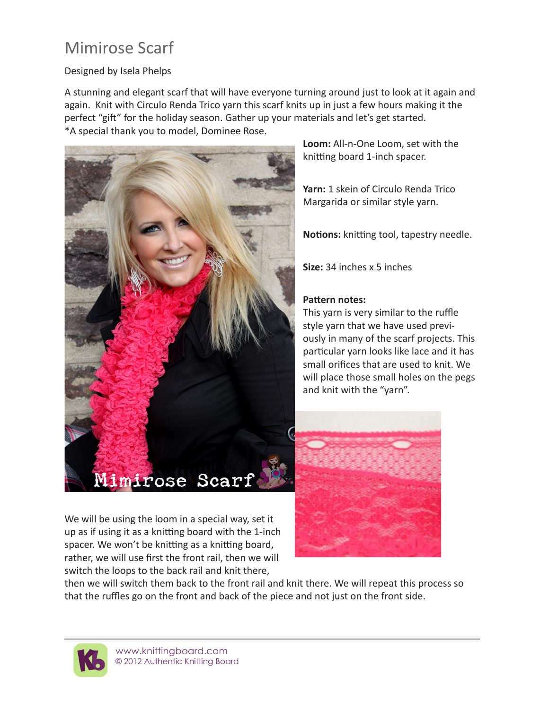## Mimirose Scarf

## Designed by Isela Phelps

A stunning and elegant scarf that will have everyone turning around just to look at it again and again. Knit with Circulo Renda Trico yarn this scarf knits up in just a few hours making it the perfect "gift" for the holiday season. Gather up your materials and let's get started. \*A special thank you to model, Dominee Rose.



We will be using the loom in a special way, set it up as if using it as a knitting board with the 1-inch spacer. We won't be knitting as a knitting board, rather, we will use first the front rail, then we will switch the loops to the back rail and knit there,

**Loom:** All-n-One Loom, set with the knitting board 1-inch spacer.

**Yarn:** 1 skein of Circulo Renda Trico Margarida or similar style yarn.

**Notions:** knitting tool, tapestry needle.

**Size:** 34 inches x 5 inches

## **Pattern notes:**

This yarn is very similar to the ruffle style yarn that we have used previously in many of the scarf projects. This particular yarn looks like lace and it has small orifices that are used to knit. We will place those small holes on the pegs and knit with the "yarn".



then we will switch them back to the front rail and knit there. We will repeat this process so that the ruffles go on the front and back of the piece and not just on the front side.